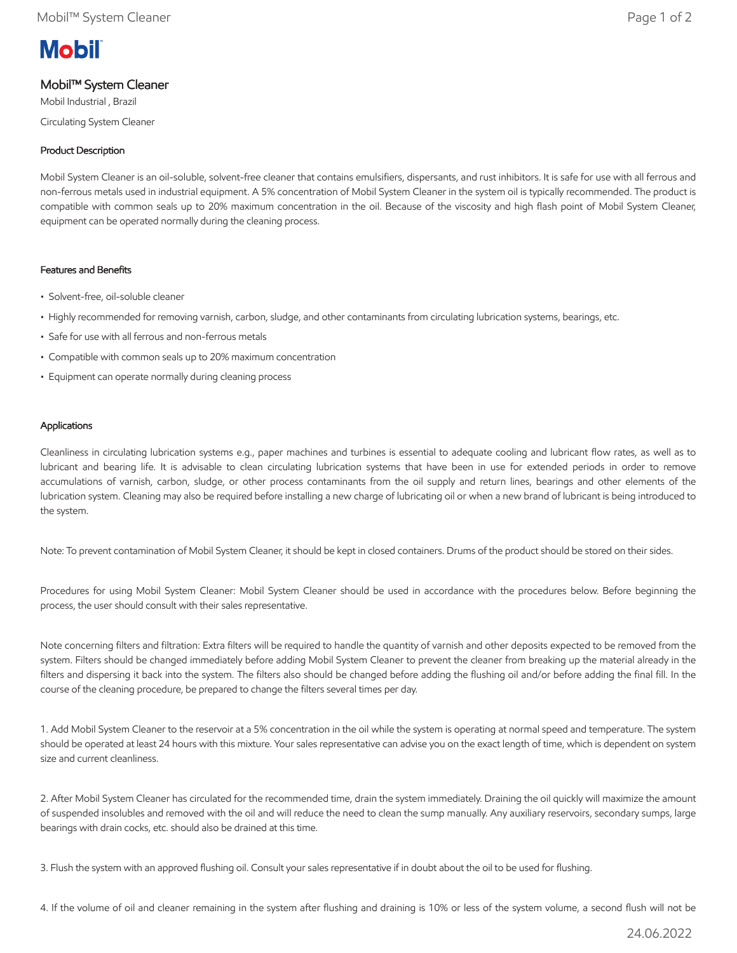# **Mobil**

## Mobil™ System Cleaner

Mobil Industrial , Brazil

Circulating System Cleaner

### Product Description

Mobil System Cleaner is an oil-soluble, solvent-free cleaner that contains emulsifiers, dispersants, and rust inhibitors. It is safe for use with all ferrous and non-ferrous metals used in industrial equipment. A 5% concentration of Mobil System Cleaner in the system oil is typically recommended. The product is compatible with common seals up to 20% maximum concentration in the oil. Because of the viscosity and high flash point of Mobil System Cleaner, equipment can be operated normally during the cleaning process.

#### Features and Benefits

- Solvent-free, oil-soluble cleaner
- Highly recommended for removing varnish, carbon, sludge, and other contaminants from circulating lubrication systems, bearings, etc.
- Safe for use with all ferrous and non-ferrous metals
- Compatible with common seals up to 20% maximum concentration
- Equipment can operate normally during cleaning process

#### Applications

Cleanliness in circulating lubrication systems e.g., paper machines and turbines is essential to adequate cooling and lubricant flow rates, as well as to lubricant and bearing life. It is advisable to clean circulating lubrication systems that have been in use for extended periods in order to remove accumulations of varnish, carbon, sludge, or other process contaminants from the oil supply and return lines, bearings and other elements of the lubrication system. Cleaning may also be required before installing a new charge of lubricating oil or when a new brand of lubricant is being introduced to the system.

Note: To prevent contamination of Mobil System Cleaner, it should be kept in closed containers. Drums of the product should be stored on their sides.

Procedures for using Mobil System Cleaner: Mobil System Cleaner should be used in accordance with the procedures below. Before beginning the process, the user should consult with their sales representative.

Note concerning filters and filtration: Extra filters will be required to handle the quantity of varnish and other deposits expected to be removed from the system. Filters should be changed immediately before adding Mobil System Cleaner to prevent the cleaner from breaking up the material already in the filters and dispersing it back into the system. The filters also should be changed before adding the flushing oil and/or before adding the final fill. In the course of the cleaning procedure, be prepared to change the filters several times per day.

1. Add Mobil System Cleaner to the reservoir at a 5% concentration in the oil while the system is operating at normal speed and temperature. The system should be operated at least 24 hours with this mixture. Your sales representative can advise you on the exact length of time, which is dependent on system size and current cleanliness.

2. After Mobil System Cleaner has circulated for the recommended time, drain the system immediately. Draining the oil quickly will maximize the amount of suspended insolubles and removed with the oil and will reduce the need to clean the sump manually. Any auxiliary reservoirs, secondary sumps, large bearings with drain cocks, etc. should also be drained at this time.

3. Flush the system with an approved flushing oil. Consult your sales representative if in doubt about the oil to be used for flushing.

4. If the volume of oil and cleaner remaining in the system after flushing and draining is 10% or less of the system volume, a second flush will not be